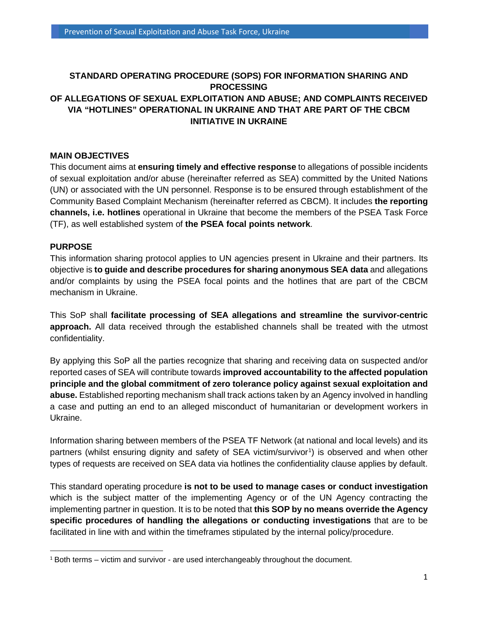## **STANDARD OPERATING PROCEDURE (SOPS) FOR INFORMATION SHARING AND PROCESSING OF ALLEGATIONS OF SEXUAL EXPLOITATION AND ABUSE; AND COMPLAINTS RECEIVED VIA "HOTLINES" OPERATIONAL IN UKRAINE AND THAT ARE PART OF THE CBCM INITIATIVE IN UKRAINE**

## **MAIN OBJECTIVES**

This document aims at **ensuring timely and effective response** to allegations of possible incidents of sexual exploitation and/or abuse (hereinafter referred as SEA) committed by the United Nations (UN) or associated with the UN personnel. Response is to be ensured through establishment of the Community Based Complaint Mechanism (hereinafter referred as CBCM). It includes **the reporting channels, i.e. hotlines** operational in Ukraine that become the members of the PSEA Task Force (TF), as well established system of **the PSEA focal points network**.

## **PURPOSE**

This information sharing protocol applies to UN agencies present in Ukraine and their partners. Its objective is **to guide and describe procedures for sharing anonymous SEA data** and allegations and/or complaints by using the PSEA focal points and the hotlines that are part of the CBCM mechanism in Ukraine.

This SoP shall **facilitate processing of SEA allegations and streamline the survivor-centric approach.** All data received through the established channels shall be treated with the utmost confidentiality.

By applying this SoP all the parties recognize that sharing and receiving data on suspected and/or reported cases of SEA will contribute towards **improved accountability to the affected population principle and the global commitment of zero tolerance policy against sexual exploitation and abuse.** Established reporting mechanism shall track actions taken by an Agency involved in handling a case and putting an end to an alleged misconduct of humanitarian or development workers in Ukraine.

Information sharing between members of the PSEA TF Network (at national and local levels) and its partners (whilst ensuring dignity and safety of SEA victim/survivor<sup>[1](#page-0-0)</sup>) is observed and when other types of requests are received on SEA data via hotlines the confidentiality clause applies by default.

This standard operating procedure **is not to be used to manage cases or conduct investigation** which is the subject matter of the implementing Agency or of the UN Agency contracting the implementing partner in question. It is to be noted that **this SOP by no means override the Agency specific procedures of handling the allegations or conducting investigations** that are to be facilitated in line with and within the timeframes stipulated by the internal policy/procedure.

<span id="page-0-0"></span><sup>&</sup>lt;sup>1</sup> Both terms – victim and survivor - are used interchangeably throughout the document.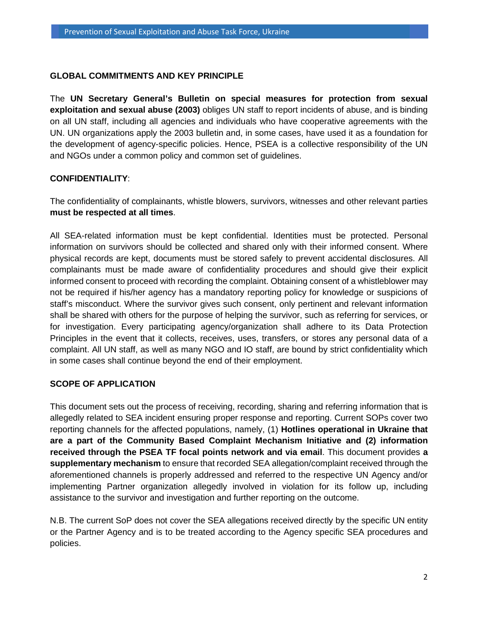### **GLOBAL COMMITMENTS AND KEY PRINCIPLE**

The **UN Secretary General's Bulletin on special measures for protection from sexual exploitation and sexual abuse (2003)** obliges UN staff to report incidents of abuse, and is binding on all UN staff, including all agencies and individuals who have cooperative agreements with the UN. UN organizations apply the 2003 bulletin and, in some cases, have used it as a foundation for the development of agency-specific policies. Hence, PSEA is a collective responsibility of the UN and NGOs under a common policy and common set of guidelines.

### **CONFIDENTIALITY**:

The confidentiality of complainants, whistle blowers, survivors, witnesses and other relevant parties **must be respected at all times**.

All SEA-related information must be kept confidential. Identities must be protected. Personal information on survivors should be collected and shared only with their informed consent. Where physical records are kept, documents must be stored safely to prevent accidental disclosures. All complainants must be made aware of confidentiality procedures and should give their explicit informed consent to proceed with recording the complaint. Obtaining consent of a whistleblower may not be required if his/her agency has a mandatory reporting policy for knowledge or suspicions of staff's misconduct. Where the survivor gives such consent, only pertinent and relevant information shall be shared with others for the purpose of helping the survivor, such as referring for services, or for investigation. Every participating agency/organization shall adhere to its Data Protection Principles in the event that it collects, receives, uses, transfers, or stores any personal data of a complaint. All UN staff, as well as many NGO and IO staff, are bound by strict confidentiality which in some cases shall continue beyond the end of their employment.

## **SCOPE OF APPLICATION**

This document sets out the process of receiving, recording, sharing and referring information that is allegedly related to SEA incident ensuring proper response and reporting. Current SOPs cover two reporting channels for the affected populations, namely, (1) **Hotlines operational in Ukraine that are a part of the Community Based Complaint Mechanism Initiative and (2) information received through the PSEA TF focal points network and via email**. This document provides **a supplementary mechanism** to ensure that recorded SEA allegation/complaint received through the aforementioned channels is properly addressed and referred to the respective UN Agency and/or implementing Partner organization allegedly involved in violation for its follow up, including assistance to the survivor and investigation and further reporting on the outcome.

N.B. The current SoP does not cover the SEA allegations received directly by the specific UN entity or the Partner Agency and is to be treated according to the Agency specific SEA procedures and policies.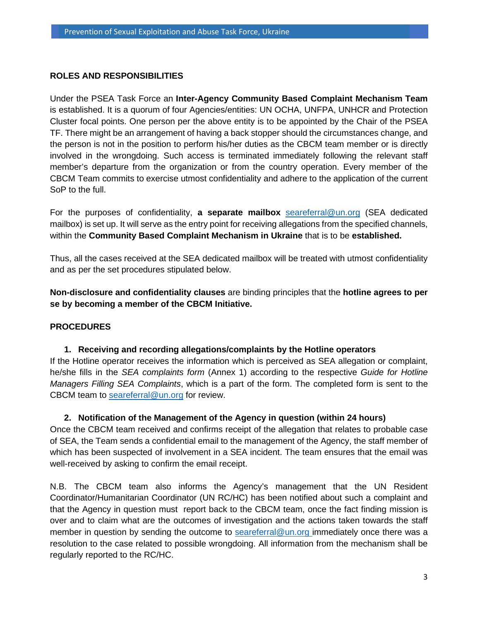## **ROLES AND RESPONSIBILITIES**

Under the PSEA Task Force an **Inter-Agency Community Based Complaint Mechanism Team** is established. It is a quorum of four Agencies/entities: UN OCHA, UNFPA, UNHCR and Protection Cluster focal points. One person per the above entity is to be appointed by the Chair of the PSEA TF. There might be an arrangement of having a back stopper should the circumstances change, and the person is not in the position to perform his/her duties as the CBCM team member or is directly involved in the wrongdoing. Such access is terminated immediately following the relevant staff member's departure from the organization or from the country operation. Every member of the CBCM Team commits to exercise utmost confidentiality and adhere to the application of the current SoP to the full.

For the purposes of confidentiality, **a separate mailbox** [seareferral@un.org](mailto:seareferral@un.org) (SEA dedicated mailbox) is set up. It will serve as the entry point for receiving allegations from the specified channels, within the **Community Based Complaint Mechanism in Ukraine** that is to be **established.**

Thus, all the cases received at the SEA dedicated mailbox will be treated with utmost confidentiality and as per the set procedures stipulated below.

**Non-disclosure and confidentiality clauses** are binding principles that the **hotline agrees to per se by becoming a member of the CBCM Initiative.**

#### **PROCEDURES**

#### **1. Receiving and recording allegations/complaints by the Hotline operators**

If the Hotline operator receives the information which is perceived as SEA allegation or complaint, he/she fills in the *SEA complaints form* (Annex 1) according to the respective *Guide for Hotline Managers Filling SEA Complaints*, which is a part of the form. The completed form is sent to the CBCM team to [seareferral@un.org](mailto:seareferral@un.org) for review.

#### **2. Notification of the Management of the Agency in question (within 24 hours)**

Once the CBCM team received and confirms receipt of the allegation that relates to probable case of SEA, the Team sends a confidential email to the management of the Agency, the staff member of which has been suspected of involvement in a SEA incident. The team ensures that the email was well-received by asking to confirm the email receipt.

N.B. The CBCM team also informs the Agency's management that the UN Resident Coordinator/Humanitarian Coordinator (UN RC/HC) has been notified about such a complaint and that the Agency in question must report back to the CBCM team, once the fact finding mission is over and to claim what are the outcomes of investigation and the actions taken towards the staff member in question by sending the outcome to [seareferral@un.org](mailto:seareferral@un.org) immediately once there was a resolution to the case related to possible wrongdoing. All information from the mechanism shall be regularly reported to the RC/HC.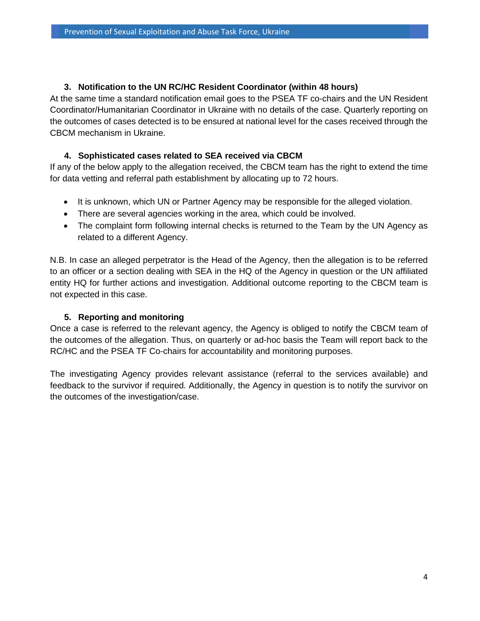## **3. Notification to the UN RC/HC Resident Coordinator (within 48 hours)**

At the same time a standard notification email goes to the PSEA TF co-chairs and the UN Resident Coordinator/Humanitarian Coordinator in Ukraine with no details of the case. Quarterly reporting on the outcomes of cases detected is to be ensured at national level for the cases received through the CBCM mechanism in Ukraine.

## **4. Sophisticated cases related to SEA received via CBCM**

If any of the below apply to the allegation received, the CBCM team has the right to extend the time for data vetting and referral path establishment by allocating up to 72 hours.

- It is unknown, which UN or Partner Agency may be responsible for the alleged violation.
- There are several agencies working in the area, which could be involved.
- The complaint form following internal checks is returned to the Team by the UN Agency as related to a different Agency.

N.B. In case an alleged perpetrator is the Head of the Agency, then the allegation is to be referred to an officer or a section dealing with SEA in the HQ of the Agency in question or the UN affiliated entity HQ for further actions and investigation. Additional outcome reporting to the CBCM team is not expected in this case.

# **5. Reporting and monitoring**

Once a case is referred to the relevant agency, the Agency is obliged to notify the CBCM team of the outcomes of the allegation. Thus, on quarterly or ad-hoc basis the Team will report back to the RC/HC and the PSEA TF Co-chairs for accountability and monitoring purposes.

The investigating Agency provides relevant assistance (referral to the services available) and feedback to the survivor if required. Additionally, the Agency in question is to notify the survivor on the outcomes of the investigation/case.